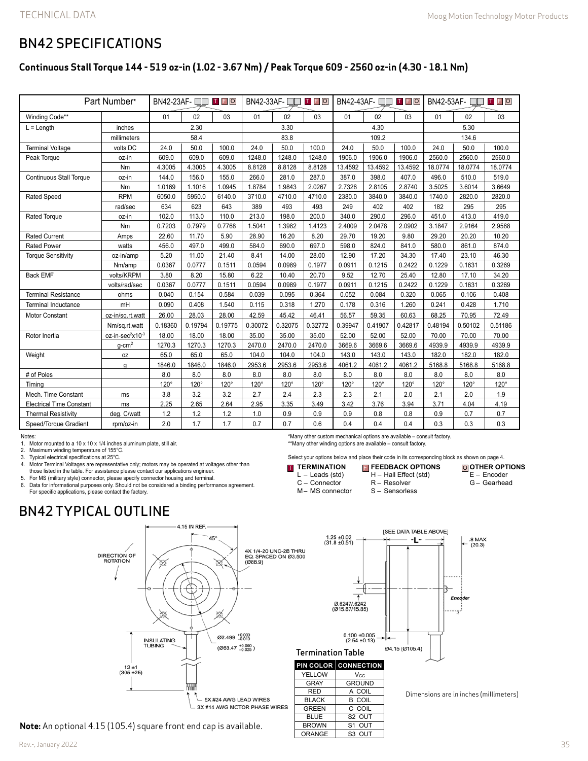### BN42 SPECIFICATIONS

### **Continuous Stall Torque 144 - 519 oz-in (1.02 - 3.67 Nm) / Peak Torque 609 - 2560 oz-in (4.30 - 18.1 Nm)**

| Part Number*                    |                              | T F O<br>$BN42-23AF - T$ |         |             | T FIO<br>$BN42-33AF - T$ |         |         | T F O<br>$BN42-43AF - T$ |         |             | BN42-53AF-<br>$T$ $F$ $O$<br>$\blacksquare$ |         |         |
|---------------------------------|------------------------------|--------------------------|---------|-------------|--------------------------|---------|---------|--------------------------|---------|-------------|---------------------------------------------|---------|---------|
| Winding Code**                  |                              | 01                       | 02      | 03          | 01                       | 02      | 03      | 01                       | 02      | 03          | 01                                          | 02      | 03      |
| $L =$ Length                    | inches                       | 2.30                     |         | 3.30        |                          |         | 4.30    |                          |         | 5.30        |                                             |         |         |
|                                 | millimeters                  |                          | 58.4    |             | 83.8                     |         |         | 109.2                    |         |             | 134.6                                       |         |         |
| <b>Terminal Voltage</b>         | volts DC                     | 24.0                     | 50.0    | 100.0       | 24.0                     | 50.0    | 100.0   | 24.0                     | 50.0    | 100.0       | 24.0                                        | 50.0    | 100.0   |
| Peak Torque                     | oz-in                        | 609.0                    | 609.0   | 609.0       | 1248.0                   | 1248.0  | 1248.0  | 1906.0                   | 1906.0  | 1906.0      | 2560.0                                      | 2560.0  | 2560.0  |
|                                 | Nm                           | 4.3005                   | 4.3005  | 4.3005      | 8.8128                   | 8.8128  | 8.8128  | 13.4592                  | 13.4592 | 13.4592     | 18.0774                                     | 18.0774 | 18.0774 |
| <b>Continuous Stall Torque</b>  | oz-in                        | 144.0                    | 156.0   | 155.0       | 266.0                    | 281.0   | 287.0   | 387.0                    | 398.0   | 407.0       | 496.0                                       | 510.0   | 519.0   |
|                                 | Nm                           | 1.0169                   | 1.1016  | 1.0945      | 1.8784                   | 1.9843  | 2.0267  | 2.7328                   | 2.8105  | 2.8740      | 3.5025                                      | 3.6014  | 3.6649  |
| Rated Speed                     | <b>RPM</b>                   | 6050.0                   | 5950.0  | 6140.0      | 3710.0                   | 4710.0  | 4710.0  | 2380.0                   | 3840.0  | 3840.0      | 1740.0                                      | 2820.0  | 2820.0  |
|                                 | rad/sec                      | 634                      | 623     | 643         | 389                      | 493     | 493     | 249                      | 402     | 402         | 182                                         | 295     | 295     |
| <b>Rated Torque</b>             | oz-in                        | 102.0                    | 113.0   | 110.0       | 213.0                    | 198.0   | 200.0   | 340.0                    | 290.0   | 296.0       | 451.0                                       | 413.0   | 419.0   |
|                                 | Nm                           | 0.7203                   | 0.7979  | 0.7768      | 1.5041                   | 1.3982  | 1.4123  | 2.4009                   | 2.0478  | 2.0902      | 3.1847                                      | 2.9164  | 2.9588  |
| <b>Rated Current</b>            | Amps                         | 22.60                    | 11.70   | 5.90        | 28.90                    | 16.20   | 8.20    | 29.70                    | 19.20   | 9.80        | 29.20                                       | 20.20   | 10.20   |
| <b>Rated Power</b>              | watts                        | 456.0                    | 497.0   | 499.0       | 584.0                    | 690.0   | 697.0   | 598.0                    | 824.0   | 841.0       | 580.0                                       | 861.0   | 874.0   |
| <b>Torque Sensitivity</b>       | oz-in/amp                    | 5.20                     | 11.00   | 21.40       | 8.41                     | 14.00   | 28.00   | 12.90                    | 17.20   | 34.30       | 17.40                                       | 23.10   | 46.30   |
|                                 | Nm/amp                       | 0.0367                   | 0.0777  | 0.1511      | 0.0594                   | 0.0989  | 0.1977  | 0.0911                   | 0.1215  | 0.2422      | 0.1229                                      | 0.1631  | 0.3269  |
| <b>Back EMF</b>                 | volts/KRPM                   | 3.80                     | 8.20    | 15.80       | 6.22                     | 10.40   | 20.70   | 9.52                     | 12.70   | 25.40       | 12.80                                       | 17.10   | 34.20   |
|                                 | volts/rad/sec                | 0.0367                   | 0.0777  | 0.1511      | 0.0594                   | 0.0989  | 0.1977  | 0.0911                   | 0.1215  | 0.2422      | 0.1229                                      | 0.1631  | 0.3269  |
| <b>Terminal Resistance</b>      | ohms                         | 0.040                    | 0.154   | 0.584       | 0.039                    | 0.095   | 0.364   | 0.052                    | 0.084   | 0.320       | 0.065                                       | 0.106   | 0.408   |
| <b>Terminal Inductance</b>      | mH                           | 0.090                    | 0.408   | 1.540       | 0.115                    | 0.318   | 1.270   | 0.178                    | 0.316   | 1.260       | 0.241                                       | 0.428   | 1.710   |
| Motor Constant                  | oz-in/sq.rt.watt             | 26.00                    | 28.03   | 28.00       | 42.59                    | 45.42   | 46.41   | 56.57                    | 59.35   | 60.63       | 68.25                                       | 70.95   | 72.49   |
|                                 | Nm/sq.rt.watt                | 0.18360                  | 0.19794 | 0.19775     | 0.30072                  | 0.32075 | 0.32772 | 0.39947                  | 0.41907 | 0.42817     | 0.48194                                     | 0.50102 | 0.51186 |
| Rotor Inertia                   | oz-in-sec <sup>2</sup> x10-3 | 18.00                    | 18.00   | 18.00       | 35.00                    | 35.00   | 35.00   | 52.00                    | 52.00   | 52.00       | 70.00                                       | 70.00   | 70.00   |
|                                 | $q$ -cm $^2$                 | 1270.3                   | 1270.3  | 1270.3      | 2470.0                   | 2470.0  | 2470.0  | 3669.6                   | 3669.6  | 3669.6      | 4939.9                                      | 4939.9  | 4939.9  |
| Weight                          | 0Z                           | 65.0                     | 65.0    | 65.0        | 104.0                    | 104.0   | 104.0   | 143.0                    | 143.0   | 143.0       | 182.0                                       | 182.0   | 182.0   |
|                                 | q                            | 1846.0                   | 1846.0  | 1846.0      | 2953.6                   | 2953.6  | 2953.6  | 4061.2                   | 4061.2  | 4061.2      | 5168.8                                      | 5168.8  | 5168.8  |
| # of Poles                      |                              | 8.0                      | 8.0     | 8.0         | 8.0                      | 8.0     | 8.0     | 8.0                      | 8.0     | 8.0         | 8.0                                         | 8.0     | 8.0     |
| Timina                          |                              | 120°                     | 120°    | $120^\circ$ | 120°                     | 120°    | 120°    | $120^\circ$              | 120°    | $120^\circ$ | 120°                                        | 120°    | 120°    |
| Mech. Time Constant             | ms                           | 3.8                      | 3.2     | 3.2         | 2.7                      | 2.4     | 2.3     | 2.3                      | 2.1     | 2.0         | 2.1                                         | 2.0     | 1.9     |
| <b>Electrical Time Constant</b> | ms                           | 2.25                     | 2.65    | 2.64        | 2.95                     | 3.35    | 3.49    | 3.42                     | 3.76    | 3.94        | 3.71                                        | 4.04    | 4.19    |
| <b>Thermal Resistivity</b>      | deg. C/watt                  | 1.2                      | 1.2     | 1.2         | 1.0                      | 0.9     | 0.9     | 0.9                      | 0.8     | 0.8         | 0.9                                         | 0.7     | 0.7     |
| Speed/Torque Gradient           | rpm/oz-in                    | 2.0                      | 1.7     | 1.7         | 0.7                      | 0.7     | 0.6     | 0.4                      | 0.4     | 0.4         | 0.3                                         | 0.3     | 0.3     |

Notes:

1. Motor mounted to a 10 x 10 x 1/4 inches aluminum plate, still air.

2. Maximum winding temperature of 155°C.

3. Typical electrical specifications at 25°C.

4. Motor Terminal Voltages are representative only; motors may be operated at voltages other than those listed in the table. For assistance please contact our applications engineer.

5. For MS (military style) connector, please specify connector housing and terminal. Data for informational purposes only. Should not be considered a binding performance agreement. For specific applications, please contact the factory.

\*Many other custom mechanical options are available – consult factory. \*\*Many other winding options are available – consult factory.

Select your options below and place their code in its corresponding block as shown on page 4.

R – Resolver

**ISEE DATA TABLE ABOVEI** 

۳L"

Ø4.15 (Ø105.4)

- **T** TERMINATION L – Leads (std) **FEEDBACK OPTIONS** T F O
	- C Connector

YELLOW Vcc GRAY GROUND RED A COIL<br>BLACK B COIL BLACK B COIL<br>GREEN C COIL

BLUE S2 OUT

ORANGE | S3 OUT

C COIL

 $0.100 \pm 0.005$ <br>(2.54 ±0.13)

S1 OUT

M– MS connector

 $1.25 \pm 0.02$ <br>(31.8 ±0.51)

Ø.6247/.6242<br>(Ø15.87/15.85)

E – Encoder G – Gearhead H – Hall Effect (std)

**OTHER OPTIONS**

.8 MAX<br>(20.3)

S – Sensorless

En

Dimensions are in inches (millimeters)

# BN42 TYPICAL OUTLINE



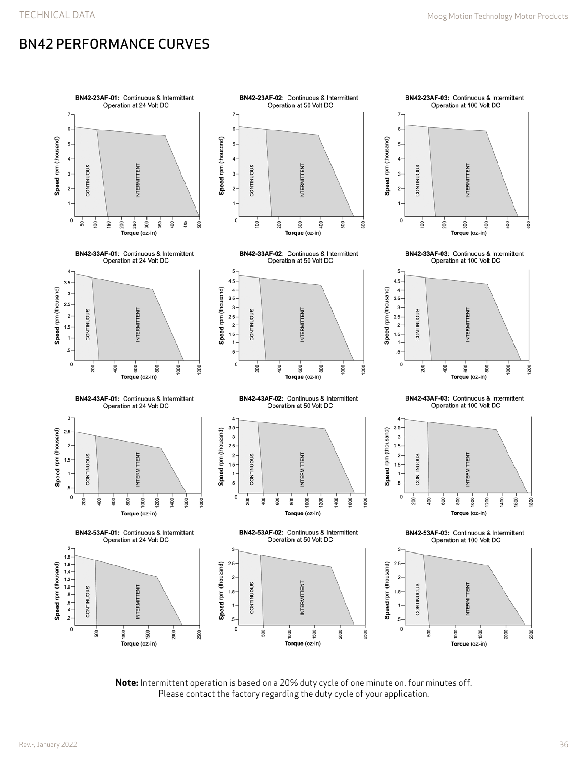## BN42 PERFORMANCE CURVES



**Note:** Intermittent operation is based on a 20% duty cycle of one minute on, four minutes off. Please contact the factory regarding the duty cycle of your application.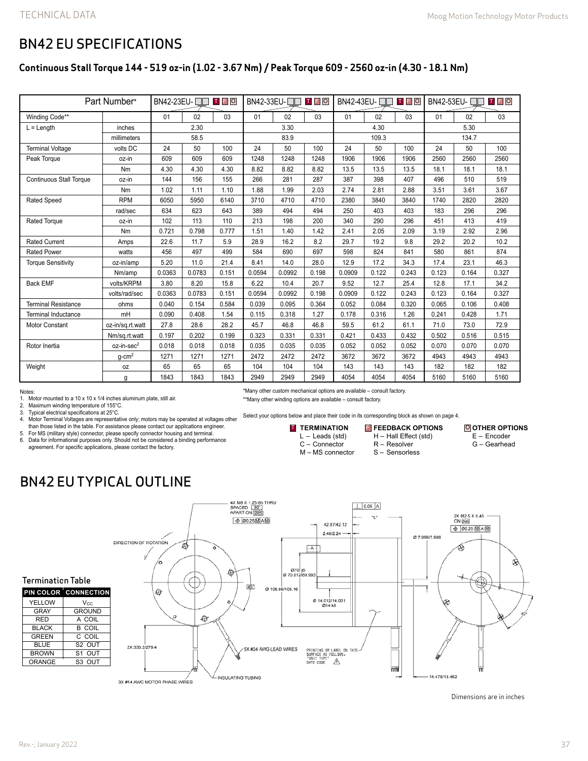## BN42 EU SPECIFICATIONS

### **Continuous Stall Torque 144 - 519 oz-in (1.02 - 3.67 Nm) / Peak Torque 609 - 2560 oz-in (4.30 - 18.1 Nm)**

| Part Number*                   |                        | BN42-23EU- □□ □ □ □ □ |        |       | BN42-33EU-□□ □□ |        |       |        |       |       | <b>TFO</b><br>BN42-53EU- |       |       |
|--------------------------------|------------------------|-----------------------|--------|-------|-----------------|--------|-------|--------|-------|-------|--------------------------|-------|-------|
| Winding Code**                 |                        | 01                    | 02     | 03    | 01              | 02     | 03    | 01     | 02    | 03    | 01                       | 02    | 03    |
| $L =$ Length                   | inches                 |                       | 2.30   |       | 3.30            |        |       | 4.30   |       |       | 5.30                     |       |       |
|                                | millimeters            |                       | 58.5   |       | 83.9            |        |       | 109.3  |       |       | 134.7                    |       |       |
| <b>Terminal Voltage</b>        | volts DC               | 24                    | 50     | 100   | 24              | 50     | 100   | 24     | 50    | 100   | 24                       | 50    | 100   |
| Peak Torque                    | oz-in                  | 609                   | 609    | 609   | 1248            | 1248   | 1248  | 1906   | 1906  | 1906  | 2560                     | 2560  | 2560  |
|                                | Nm                     | 4.30                  | 4.30   | 4.30  | 8.82            | 8.82   | 8.82  | 13.5   | 13.5  | 13.5  | 18.1                     | 18.1  | 18.1  |
| <b>Continuous Stall Torque</b> | oz-in                  | 144                   | 156    | 155   | 266             | 281    | 287   | 387    | 398   | 407   | 496                      | 510   | 519   |
|                                | Nm                     | 1.02                  | 1.11   | 1.10  | 1.88            | 1.99   | 2.03  | 2.74   | 2.81  | 2.88  | 3.51                     | 3.61  | 3.67  |
| <b>Rated Speed</b>             | <b>RPM</b>             | 6050                  | 5950   | 6140  | 3710            | 4710   | 4710  | 2380   | 3840  | 3840  | 1740                     | 2820  | 2820  |
|                                | rad/sec                | 634                   | 623    | 643   | 389             | 494    | 494   | 250    | 403   | 403   | 183                      | 296   | 296   |
| Rated Torque                   | oz-in                  | 102                   | 113    | 110   | 213             | 198    | 200   | 340    | 290   | 296   | 451                      | 413   | 419   |
|                                | <b>Nm</b>              | 0.721                 | 0.798  | 0.777 | 1.51            | 1.40   | 1.42  | 2.41   | 2.05  | 2.09  | 3.19                     | 2.92  | 2.96  |
| <b>Rated Current</b>           | Amps                   | 22.6                  | 11.7   | 5.9   | 28.9            | 16.2   | 8.2   | 29.7   | 19.2  | 9.8   | 29.2                     | 20.2  | 10.2  |
| <b>Rated Power</b>             | watts                  | 456                   | 497    | 499   | 584             | 690    | 697   | 598    | 824   | 841   | 580                      | 861   | 874   |
| <b>Torque Sensitivity</b>      | oz-in/amp              | 5.20                  | 11.0   | 21.4  | 8.41            | 14.0   | 28.0  | 12.9   | 17.2  | 34.3  | 17.4                     | 23.1  | 46.3  |
|                                | Nm/amp                 | 0.0363                | 0.0783 | 0.151 | 0.0594          | 0.0992 | 0.198 | 0.0909 | 0.122 | 0.243 | 0.123                    | 0.164 | 0.327 |
| <b>Back EMF</b>                | volts/KRPM             | 3.80                  | 8.20   | 15.8  | 6.22            | 10.4   | 20.7  | 9.52   | 12.7  | 25.4  | 12.8                     | 17.1  | 34.2  |
|                                | volts/rad/sec          | 0.0363                | 0.0783 | 0.151 | 0.0594          | 0.0992 | 0.198 | 0.0909 | 0.122 | 0.243 | 0.123                    | 0.164 | 0.327 |
| <b>Terminal Resistance</b>     | ohms                   | 0.040                 | 0.154  | 0.584 | 0.039           | 0.095  | 0.364 | 0.052  | 0.084 | 0.320 | 0.065                    | 0.106 | 0.408 |
| <b>Terminal Inductance</b>     | mH                     | 0.090                 | 0.408  | 1.54  | 0.115           | 0.318  | 1.27  | 0.178  | 0.316 | 1.26  | 0.241                    | 0.428 | 1.71  |
| <b>Motor Constant</b>          | oz-in/sq.rt.watt       | 27.8                  | 28.6   | 28.2  | 45.7            | 46.8   | 46.8  | 59.5   | 61.2  | 61.1  | 71.0                     | 73.0  | 72.9  |
|                                | Nm/sq.rt.watt          | 0.197                 | 0.202  | 0.199 | 0.323           | 0.331  | 0.331 | 0.421  | 0.433 | 0.432 | 0.502                    | 0.516 | 0.515 |
| Rotor Inertia                  | oz-in-sec <sup>2</sup> | 0.018                 | 0.018  | 0.018 | 0.035           | 0.035  | 0.035 | 0.052  | 0.052 | 0.052 | 0.070                    | 0.070 | 0.070 |
|                                | $g$ -cm <sup>2</sup>   | 1271                  | 1271   | 1271  | 2472            | 2472   | 2472  | 3672   | 3672  | 3672  | 4943                     | 4943  | 4943  |
| Weight                         | 0Z                     | 65                    | 65     | 65    | 104             | 104    | 104   | 143    | 143   | 143   | 182                      | 182   | 182   |
|                                | g                      | 1843                  | 1843   | 1843  | 2949            | 2949   | 2949  | 4054   | 4054  | 4054  | 5160                     | 5160  | 5160  |

#### Notes:

1. Motor mounted to a 10 x 10 x 1/4 inches aluminum plate, still air.

2. Maximum winding temperature of 155°C.<br>3. Typical electrical specifications at 25°C.

Typical electrical specifications at 25°C.

4. Motor Terminal Voltages are representative only; motors may be operated at voltages other than those listed in the table. For assistance please contact our applications engineer.

5. For MS (military style) connector, please specify connector housing and terminal.

6. Data for informational purposes only. Should not be considered a binding performance agreement. For specific applications, please contact the factory.

\*Many other custom mechanical options are available – consult factory.

\*\*Many other winding options are available – consult factory.

Select your options below and place their code in its corresponding block as shown on page 4.

**TERMINATION** L – Leads (std) C – Connector M – MS connector

**T** TERMINATION **E** FEEDBACK OPTIONS O H – Hall Effect (std) R – Resolver S – Sensorless

**O OTHER OPTIONS** E – Encoder G – Gearhead

BN42 EU TYPICAL OUTLINE



Dimensions are in inches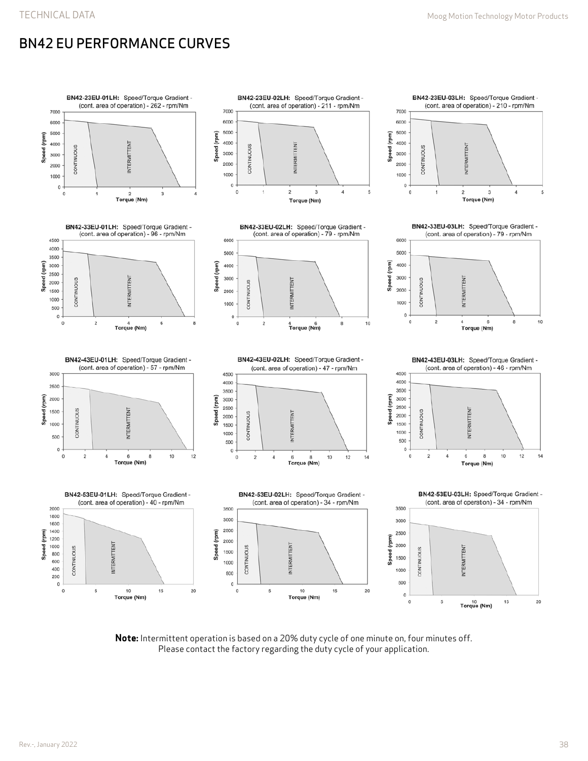## BN42 EU PERFORMANCE CURVES



**Note:** Intermittent operation is based on a 20% duty cycle of one minute on, four minutes off. Please contact the factory regarding the duty cycle of your application.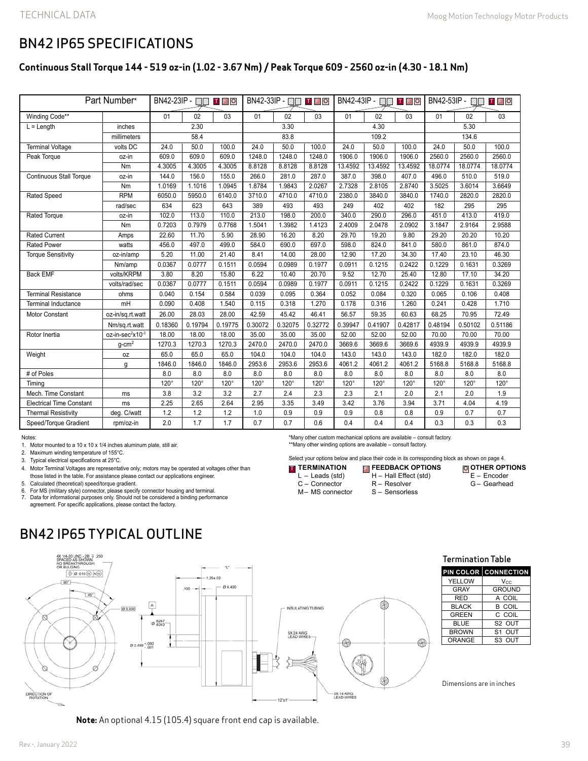### BN42 IP65 SPECIFICATIONS

### **Continuous Stall Torque 144 - 519 oz-in (1.02 - 3.67 Nm) / Peak Torque 609 - 2560 oz-in (4.30 - 18.1 Nm)**

| Part Number*                    |                              | BN42-23IP - □□<br>T F O |         |             | BN42-33IP - [<br>T F O |             |         | BN42-43IP - $\Box$<br>T F O |             |             | BN42-53IP - $\Box$<br><b>TEO</b> |             |             |
|---------------------------------|------------------------------|-------------------------|---------|-------------|------------------------|-------------|---------|-----------------------------|-------------|-------------|----------------------------------|-------------|-------------|
| Winding Code**                  |                              | 01                      | 02      | 03          | 01                     | 02          | 03      | 01                          | 02          | 03          | 01                               | 02          | 03          |
| $L =$ Length                    | inches                       | 2.30                    |         | 3.30        |                        |             | 4.30    |                             |             | 5.30        |                                  |             |             |
|                                 | millimeters                  | 58.4                    |         | 83.8        |                        |             | 109.2   |                             |             | 134.6       |                                  |             |             |
| <b>Terminal Voltage</b>         | volts DC                     | 24.0                    | 50.0    | 100.0       | 24.0                   | 50.0        | 100.0   | 24.0                        | 50.0        | 100.0       | 24.0                             | 50.0        | 100.0       |
| Peak Torque                     | oz-in                        | 609.0                   | 609.0   | 609.0       | 1248.0                 | 1248.0      | 1248.0  | 1906.0                      | 1906.0      | 1906.0      | 2560.0                           | 2560.0      | 2560.0      |
|                                 | Nm                           | 4.3005                  | 4.3005  | 4.3005      | 8.8128                 | 8.8128      | 8.8128  | 13.4592                     | 13.4592     | 13.4592     | 18.0774                          | 18.0774     | 18.0774     |
| <b>Continuous Stall Torque</b>  | oz-in                        | 144.0                   | 156.0   | 155.0       | 266.0                  | 281.0       | 287.0   | 387.0                       | 398.0       | 407.0       | 496.0                            | 510.0       | 519.0       |
|                                 | Nm                           | 1.0169                  | 1.1016  | 1.0945      | 1.8784                 | 1.9843      | 2.0267  | 2.7328                      | 2.8105      | 2.8740      | 3.5025                           | 3.6014      | 3.6649      |
| Rated Speed                     | <b>RPM</b>                   | 6050.0                  | 5950.0  | 6140.0      | 3710.0                 | 4710.0      | 4710.0  | 2380.0                      | 3840.0      | 3840.0      | 1740.0                           | 2820.0      | 2820.0      |
|                                 | rad/sec                      | 634                     | 623     | 643         | 389                    | 493         | 493     | 249                         | 402         | 402         | 182                              | 295         | 295         |
| <b>Rated Torque</b>             | oz-in                        | 102.0                   | 113.0   | 110.0       | 213.0                  | 198.0       | 200.0   | 340.0                       | 290.0       | 296.0       | 451.0                            | 413.0       | 419.0       |
|                                 | Nm                           | 0.7203                  | 0.7979  | 0.7768      | 1.5041                 | 1.3982      | 1.4123  | 2.4009                      | 2.0478      | 2.0902      | 3.1847                           | 2.9164      | 2.9588      |
| <b>Rated Current</b>            | Amps                         | 22.60                   | 11.70   | 5.90        | 28.90                  | 16.20       | 8.20    | 29.70                       | 19.20       | 9.80        | 29.20                            | 20.20       | 10.20       |
| <b>Rated Power</b>              | watts                        | 456.0                   | 497.0   | 499.0       | 584.0                  | 690.0       | 697.0   | 598.0                       | 824.0       | 841.0       | 580.0                            | 861.0       | 874.0       |
| <b>Torque Sensitivity</b>       | oz-in/amp                    | 5.20                    | 11.00   | 21.40       | 8.41                   | 14.00       | 28.00   | 12.90                       | 17.20       | 34.30       | 17.40                            | 23.10       | 46.30       |
|                                 | Nm/amp                       | 0.0367                  | 0.0777  | 0.1511      | 0.0594                 | 0.0989      | 0.1977  | 0.0911                      | 0.1215      | 0.2422      | 0.1229                           | 0.1631      | 0.3269      |
| <b>Back EMF</b>                 | volts/KRPM                   | 3.80                    | 8.20    | 15.80       | 6.22                   | 10.40       | 20.70   | 9.52                        | 12.70       | 25.40       | 12.80                            | 17.10       | 34.20       |
|                                 | volts/rad/sec                | 0.0367                  | 0.0777  | 0.1511      | 0.0594                 | 0.0989      | 0.1977  | 0.0911                      | 0.1215      | 0.2422      | 0.1229                           | 0.1631      | 0.3269      |
| <b>Terminal Resistance</b>      | ohms                         | 0.040                   | 0.154   | 0.584       | 0.039                  | 0.095       | 0.364   | 0.052                       | 0.084       | 0.320       | 0.065                            | 0.106       | 0.408       |
| <b>Terminal Inductance</b>      | mH                           | 0.090                   | 0.408   | 1.540       | 0.115                  | 0.318       | 1.270   | 0.178                       | 0.316       | 1.260       | 0.241                            | 0.428       | 1.710       |
| <b>Motor Constant</b>           | oz-in/sq.rt.watt             | 26.00                   | 28.03   | 28.00       | 42.59                  | 45.42       | 46.41   | 56.57                       | 59.35       | 60.63       | 68.25                            | 70.95       | 72.49       |
|                                 | Nm/sq.rt.watt                | 0.18360                 | 0.19794 | 0.19775     | 0.30072                | 0.32075     | 0.32772 | 0.39947                     | 0.41907     | 0.42817     | 0.48194                          | 0.50102     | 0.51186     |
| Rotor Inertia                   | oz-in-sec <sup>2</sup> x10-3 | 18.00                   | 18.00   | 18.00       | 35.00                  | 35.00       | 35.00   | 52.00                       | 52.00       | 52.00       | 70.00                            | 70.00       | 70.00       |
|                                 | $g$ -cm $^2$                 | 1270.3                  | 1270.3  | 1270.3      | 2470.0                 | 2470.0      | 2470.0  | 3669.6                      | 3669.6      | 3669.6      | 4939.9                           | 4939.9      | 4939.9      |
| Weight                          | 0Z                           | 65.0                    | 65.0    | 65.0        | 104.0                  | 104.0       | 104.0   | 143.0                       | 143.0       | 143.0       | 182.0                            | 182.0       | 182.0       |
|                                 | g                            | 1846.0                  | 1846.0  | 1846.0      | 2953.6                 | 2953.6      | 2953.6  | 4061.2                      | 4061.2      | 4061.2      | 5168.8                           | 5168.8      | 5168.8      |
| # of Poles                      |                              | 8.0                     | 8.0     | 8.0         | 8.0                    | 8.0         | 8.0     | 8.0                         | 8.0         | 8.0         | 8.0                              | 8.0         | 8.0         |
| Timina                          |                              | 120°                    | 120°    | $120^\circ$ | $120^\circ$            | $120^\circ$ | 120°    | $120^\circ$                 | $120^\circ$ | $120^\circ$ | 120°                             | $120^\circ$ | $120^\circ$ |
| Mech. Time Constant             | ms                           | 3.8                     | 3.2     | 3.2         | 2.7                    | 2.4         | 2.3     | 2.3                         | 2.1         | 2.0         | 2.1                              | 2.0         | 1.9         |
| <b>Electrical Time Constant</b> | ms                           | 2.25                    | 2.65    | 2.64        | 2.95                   | 3.35        | 3.49    | 3.42                        | 3.76        | 3.94        | 3.71                             | 4.04        | 4.19        |
| <b>Thermal Resistivity</b>      | deg. C/watt                  | 1.2                     | 1.2     | 1.2         | 1.0                    | 0.9         | 0.9     | 0.9                         | 0.8         | 0.8         | 0.9                              | 0.7         | 0.7         |
| Speed/Torque Gradient           | rpm/oz-in                    | 2.0                     | 1.7     | 1.7         | 0.7                    | 0.7         | 0.6     | 0.4                         | 0.4         | 0.4         | 0.3                              | 0.3         | 0.3         |

Notes:

1. Motor mounted to a 10 x 10 x 1/4 inches aluminum plate, still air.

2. Maximum winding temperature of 155°C.

3. Typical electrical specifications at 25°C.

4. Motor Terminal Voltages are representative only; motors may be operated at voltages other than those listed in the table. For assistance please contact our applications engineer.

5. Calculated (theoretical) speed/torque gradient.

6. For MS (military style) connector, please specify connector housing and terminal. 7. Data for informational purposes only. Should not be considered a binding performance agreement. For specific applications, please contact the factory.

BN42 IP65 TYPICAL OUTLINE



**Note:** An optional 4.15 (105.4) square front end cap is available.

L – Leads (std) C – Connector M– MS connector H – Hall Effect (std)

**T** TERMINATION

\*Many other custom mechanical options are available – consult factory. \*\*Many other winding options are available – consult factory.

- R Resolver
- S Sensorless

Select your options below and place their code in its corresponding block as shown on page 4.

E – Encoder G – Gearhead

**OTHER OPTIONS**

**FEEDBACK OPTIONS** T F O

- - Termination Table

|              | <b>PIN COLOR CONNECTION</b> |
|--------------|-----------------------------|
| YELLOW       | Vcc                         |
| GRAY         | <b>GROUND</b>               |
| RED          | A COIL                      |
| <b>BLACK</b> | <b>B COIL</b>               |
| <b>GREEN</b> | C COIL                      |
| BLUE         | S <sub>2</sub> OUT          |
| <b>BROWN</b> | S <sub>1</sub> OUT          |
| ORANGE       | S <sub>3</sub> OUT          |

Dimensions are in inches